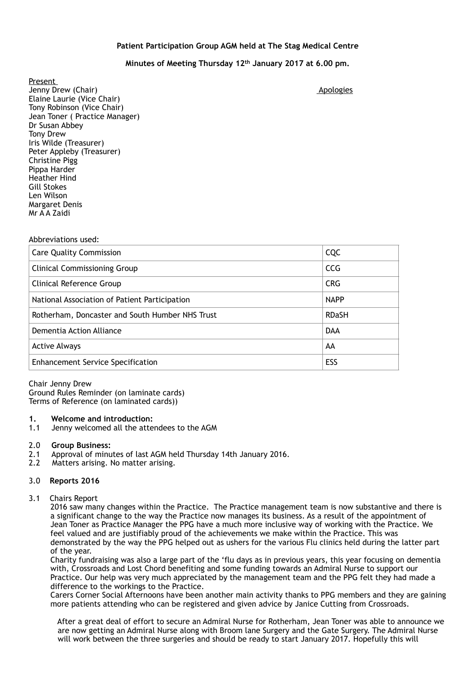## **Patient Participation Group AGM held at The Stag Medical Centre**

# **Minutes of Meeting Thursday 12th January 2017 at 6.00 pm.**

Present Jenny Drew (Chair) **Apologies** and the set of the set of the set of the set of the set of the set of the set of the set of the set of the set of the set of the set of the set of the set of the set of the set of the set of Elaine Laurie (Vice Chair) Tony Robinson (Vice Chair) Jean Toner ( Practice Manager) Dr Susan Abbey Tony Drew Iris Wilde (Treasurer) Peter Appleby (Treasurer) Christine Pigg Pippa Harder Heather Hind Gill Stokes Len Wilson Margaret Denis Mr A A Zaidi

#### Abbreviations used:

| <b>Care Quality Commission</b>                  | CQC          |
|-------------------------------------------------|--------------|
| <b>Clinical Commissioning Group</b>             | <b>CCG</b>   |
| Clinical Reference Group                        | <b>CRG</b>   |
| National Association of Patient Participation   | <b>NAPP</b>  |
| Rotherham, Doncaster and South Humber NHS Trust | <b>RDaSH</b> |
| Dementia Action Alliance                        | <b>DAA</b>   |
| <b>Active Always</b>                            | AA           |
| <b>Enhancement Service Specification</b>        | ESS          |

Chair Jenny Drew Ground Rules Reminder (on laminate cards) Terms of Reference (on laminated cards))

#### **1. Welcome and introduction:**

1.1 Jenny welcomed all the attendees to the AGM

#### 2.0 **Group Business:**

- 2.1 Approval of minutes of last AGM held Thursday 14th January 2016.<br>2.2 Matters arising. No matter arising.
- Matters arising. No matter arising.

### 3.0 **Reports 2016**

### 3.1 Chairs Report

 2016 saw many changes within the Practice. The Practice management team is now substantive and there is a significant change to the way the Practice now manages its business. As a result of the appointment of Jean Toner as Practice Manager the PPG have a much more inclusive way of working with the Practice. We feel valued and are justifiably proud of the achievements we make within the Practice. This was demonstrated by the way the PPG helped out as ushers for the various Flu clinics held during the latter part of the year.

 Charity fundraising was also a large part of the 'flu days as in previous years, this year focusing on dementia with, Crossroads and Lost Chord benefiting and some funding towards an Admiral Nurse to support our Practice. Our help was very much appreciated by the management team and the PPG felt they had made a difference to the workings to the Practice.

 Carers Corner Social Afternoons have been another main activity thanks to PPG members and they are gaining more patients attending who can be registered and given advice by Janice Cutting from Crossroads.

 After a great deal of effort to secure an Admiral Nurse for Rotherham, Jean Toner was able to announce we are now getting an Admiral Nurse along with Broom lane Surgery and the Gate Surgery. The Admiral Nurse will work between the three surgeries and should be ready to start January 2017. Hopefully this will